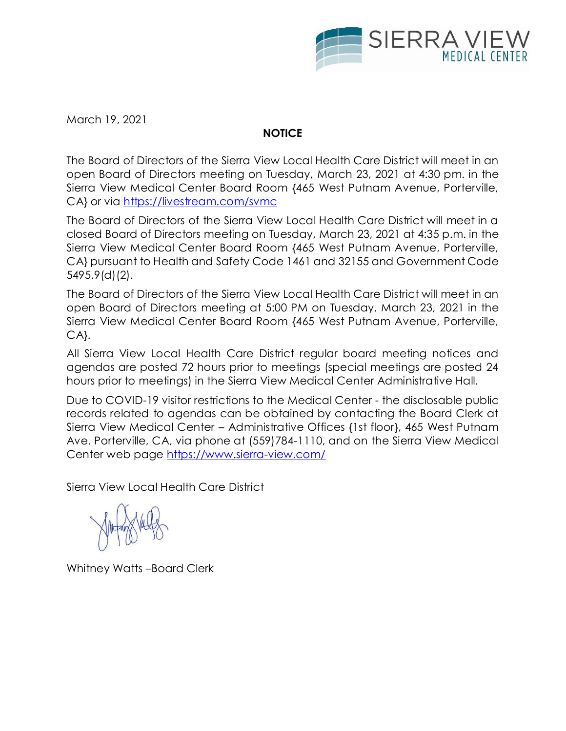

March 19, 2021

# **NOTICE**

The Board of Directors of the Sierra View Local Health Care District will meet in an open Board of Directors meeting on Tuesday, March 23, 2021 at 4:30 pm. in the Sierra View Medical Center Board Room {465 West Putnam Avenue, Porterville, CA} or via<https://livestream.com/svmc>

The Board of Directors of the Sierra View Local Health Care District will meet in a closed Board of Directors meeting on Tuesday, March 23, 2021 at 4:35 p.m. in the Sierra View Medical Center Board Room {465 West Putnam Avenue, Porterville, CA} pursuant to Health and Safety Code 1461 and 32155 and Government Code 5495.9(d)(2).

The Board of Directors of the Sierra View Local Health Care District will meet in an open Board of Directors meeting at 5:00 PM on Tuesday, March 23, 2021 in the Sierra View Medical Center Board Room {465 West Putnam Avenue, Porterville, CA}.

All Sierra View Local Health Care District regular board meeting notices and agendas are posted 72 hours prior to meetings (special meetings are posted 24 hours prior to meetings) in the Sierra View Medical Center Administrative Hall.

Due to COVID-19 visitor restrictions to the Medical Center - the disclosable public records related to agendas can be obtained by contacting the Board Clerk at Sierra View Medical Center – Administrative Offices {1st floor}, 465 West Putnam Ave. Porterville, CA, via phone at (559)784-1110, and on the Sierra View Medical Center web page<https://www.sierra-view.com/>

Sierra View Local Health Care District

Whitney Watts –Board Clerk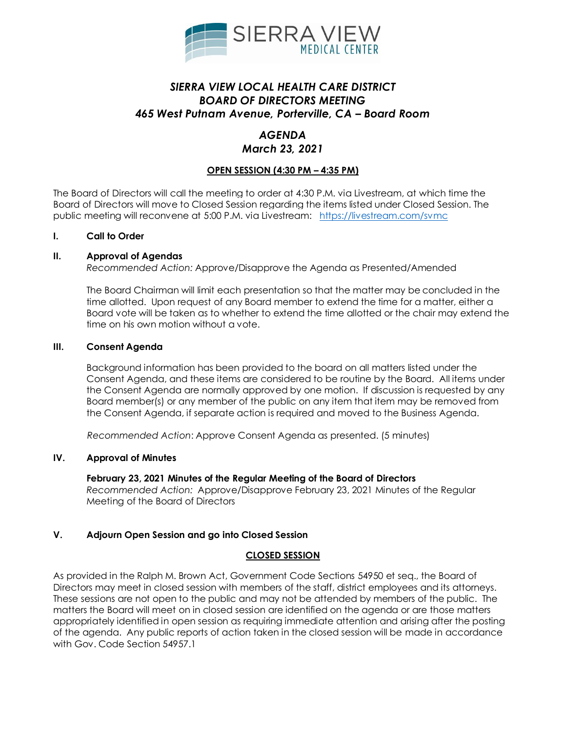

## *SIERRA VIEW LOCAL HEALTH CARE DISTRICT BOARD OF DIRECTORS MEETING 465 West Putnam Avenue, Porterville, CA – Board Room*

# *AGENDA*

### *March 23, 2021*

## **OPEN SESSION (4:30 PM – 4:35 PM)**

The Board of Directors will call the meeting to order at 4:30 P.M. via Livestream, at which time the Board of Directors will move to Closed Session regarding the items listed under Closed Session. The public meeting will reconvene at 5:00 P.M. via Livestream: <https://livestream.com/svmc>

#### **I. Call to Order**

#### **II. Approval of Agendas**

*Recommended Action:* Approve/Disapprove the Agenda as Presented/Amended

The Board Chairman will limit each presentation so that the matter may be concluded in the time allotted. Upon request of any Board member to extend the time for a matter, either a Board vote will be taken as to whether to extend the time allotted or the chair may extend the time on his own motion without a vote.

#### **III. Consent Agenda**

Background information has been provided to the board on all matters listed under the Consent Agenda, and these items are considered to be routine by the Board. All items under the Consent Agenda are normally approved by one motion. If discussion is requested by any Board member(s) or any member of the public on any item that item may be removed from the Consent Agenda, if separate action is required and moved to the Business Agenda.

*Recommended Action*: Approve Consent Agenda as presented. (5 minutes)

### **IV. Approval of Minutes**

### **February 23, 2021 Minutes of the Regular Meeting of the Board of Directors**

*Recommended Action:* Approve/Disapprove February 23, 2021 Minutes of the Regular Meeting of the Board of Directors

### **V. Adjourn Open Session and go into Closed Session**

### **CLOSED SESSION**

As provided in the Ralph M. Brown Act, Government Code Sections 54950 et seq., the Board of Directors may meet in closed session with members of the staff, district employees and its attorneys. These sessions are not open to the public and may not be attended by members of the public. The matters the Board will meet on in closed session are identified on the agenda or are those matters appropriately identified in open session as requiring immediate attention and arising after the posting of the agenda. Any public reports of action taken in the closed session will be made in accordance with Gov. Code Section 54957.1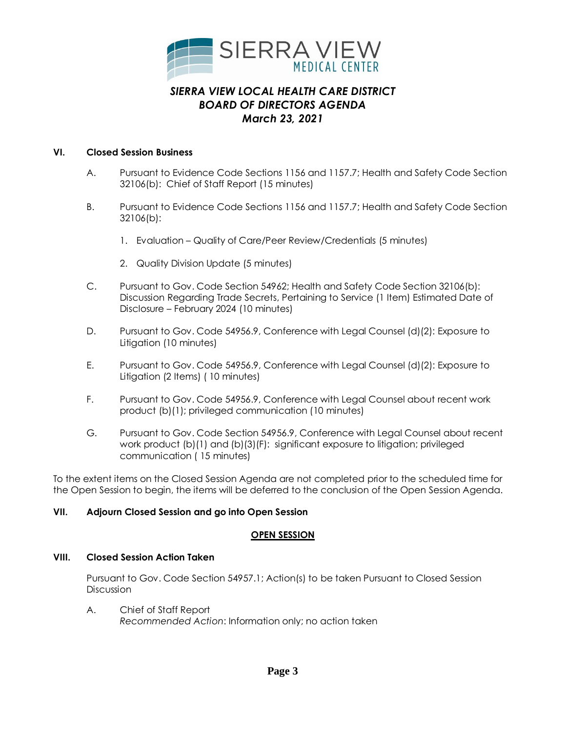

## **VI. Closed Session Business**

- A. Pursuant to Evidence Code Sections 1156 and 1157.7; Health and Safety Code Section 32106(b): Chief of Staff Report (15 minutes)
- B. Pursuant to Evidence Code Sections 1156 and 1157.7; Health and Safety Code Section 32106(b):
	- 1. Evaluation Quality of Care/Peer Review/Credentials (5 minutes)
	- 2. Quality Division Update (5 minutes)
- C. Pursuant to Gov. Code Section 54962; Health and Safety Code Section 32106(b): Discussion Regarding Trade Secrets, Pertaining to Service (1 Item) Estimated Date of Disclosure – February 2024 (10 minutes)
- D. Pursuant to Gov. Code 54956.9, Conference with Legal Counsel (d)(2): Exposure to Litigation (10 minutes)
- E. Pursuant to Gov. Code 54956.9, Conference with Legal Counsel (d)(2): Exposure to Litigation (2 Items) ( 10 minutes)
- F. Pursuant to Gov. Code 54956.9, Conference with Legal Counsel about recent work product (b)(1); privileged communication (10 minutes)
- G. Pursuant to Gov. Code Section 54956.9, Conference with Legal Counsel about recent work product (b)(1) and (b)(3)(F): significant exposure to litigation; privileged communication ( 15 minutes)

To the extent items on the Closed Session Agenda are not completed prior to the scheduled time for the Open Session to begin, the items will be deferred to the conclusion of the Open Session Agenda.

### **VII. Adjourn Closed Session and go into Open Session**

### **OPEN SESSION**

### **VIII. Closed Session Action Taken**

Pursuant to Gov. Code Section 54957.1; Action(s) to be taken Pursuant to Closed Session **Discussion** 

A. Chief of Staff Report *Recommended Action*: Information only; no action taken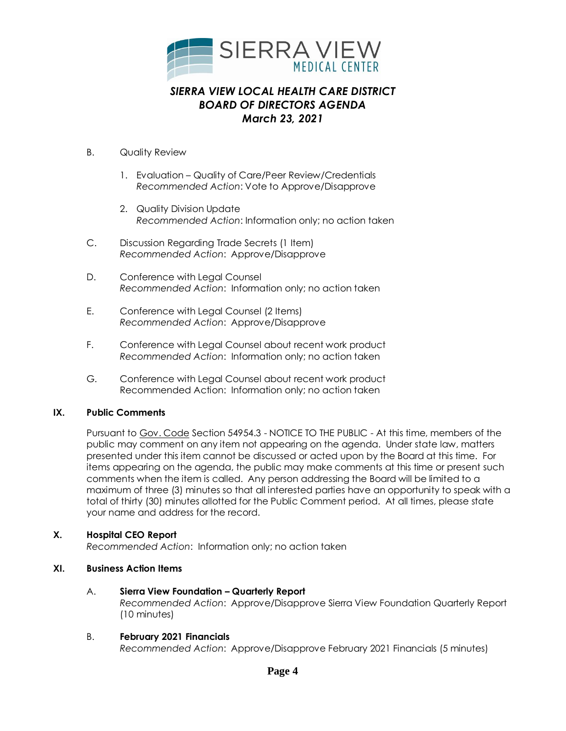

- B. Quality Review
	- 1. Evaluation Quality of Care/Peer Review/Credentials *Recommended Action*: Vote to Approve/Disapprove
	- 2. Quality Division Update *Recommended Action*: Information only; no action taken
- C. Discussion Regarding Trade Secrets (1 Item) *Recommended Action*: Approve/Disapprove
- D. Conference with Legal Counsel *Recommended Action*: Information only; no action taken
- E. Conference with Legal Counsel (2 Items) *Recommended Action*: Approve/Disapprove
- F. Conference with Legal Counsel about recent work product *Recommended Action*: Information only; no action taken
- G. Conference with Legal Counsel about recent work product Recommended Action: Information only; no action taken

## **IX. Public Comments**

Pursuant to Gov. Code Section 54954.3 - NOTICE TO THE PUBLIC - At this time, members of the public may comment on any item not appearing on the agenda. Under state law, matters presented under this item cannot be discussed or acted upon by the Board at this time. For items appearing on the agenda, the public may make comments at this time or present such comments when the item is called. Any person addressing the Board will be limited to a maximum of three (3) minutes so that all interested parties have an opportunity to speak with a total of thirty (30) minutes allotted for the Public Comment period. At all times, please state your name and address for the record.

### **X. Hospital CEO Report**

*Recommended Action*: Information only; no action taken

## **XI. Business Action Items**

## A. **Sierra View Foundation – Quarterly Report**

*Recommended Action*: Approve/Disapprove Sierra View Foundation Quarterly Report (10 minutes)

### B. **February 2021 Financials**

*Recommended Action*: Approve/Disapprove February 2021 Financials (5 minutes)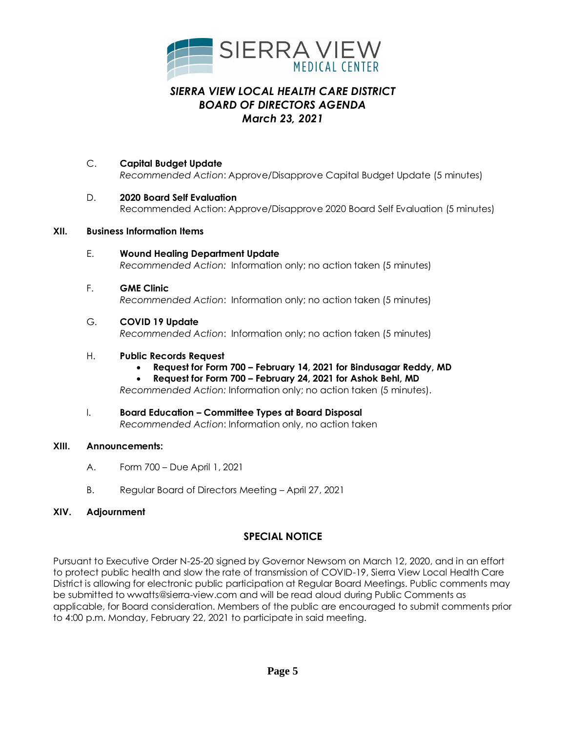

- C. **Capital Budget Update** *Recommended Action*: Approve/Disapprove Capital Budget Update (5 minutes)
- D. **2020 Board Self Evaluation**  Recommended Action: Approve/Disapprove 2020 Board Self Evaluation (5 minutes)

## **XII. Business Information Items**

- E. **Wound Healing Department Update** *Recommended Action:* Information only; no action taken (5 minutes)
- F. **GME Clinic**  *Recommended Action*: Information only; no action taken (5 minutes)

## G. **COVID 19 Update**

*Recommended Action*: Information only; no action taken (5 minutes)

## H. **Public Records Request**

**Request for Form 700 – February 14, 2021 for Bindusagar Reddy, MD**

**Request for Form 700 – February 24, 2021 for Ashok Behl, MD**

*Recommended Action:* Information only; no action taken (5 minutes).

I. **Board Education – Committee Types at Board Disposal**  *Recommended Action*: Information only, no action taken

### **XIII. Announcements:**

- A. Form 700 Due April 1, 2021
- B. Regular Board of Directors Meeting April 27, 2021

## **XIV. Adjournment**

## **SPECIAL NOTICE**

Pursuant to Executive Order N-25-20 signed by Governor Newsom on March 12, 2020, and in an effort to protect public health and slow the rate of transmission of COVID-19, Sierra View Local Health Care District is allowing for electronic public participation at Regular Board Meetings. Public comments may be submitted to wwatts@sierra-view.com and will be read aloud during Public Comments as applicable, for Board consideration. Members of the public are encouraged to submit comments prior to 4:00 p.m. Monday, February 22, 2021 to participate in said meeting.